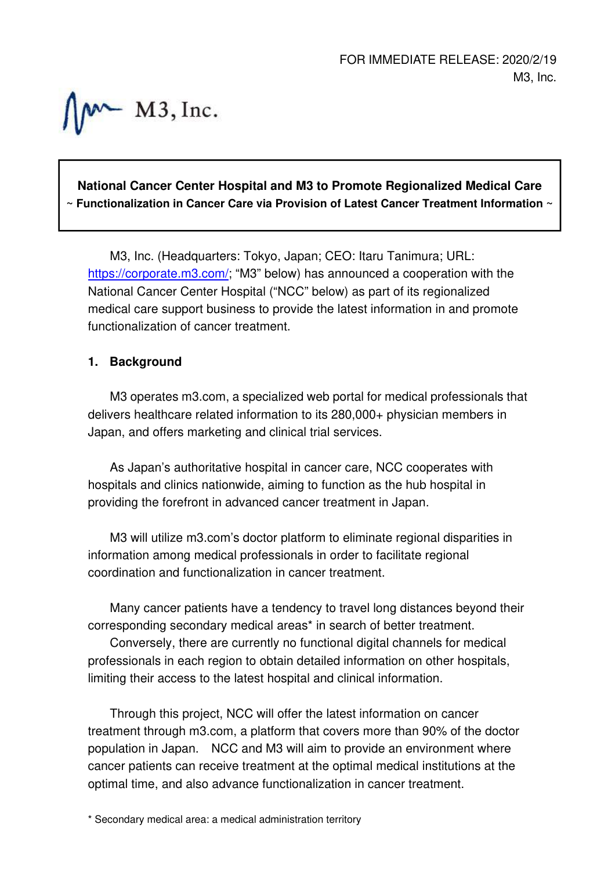$M \sim M3$ , Inc.

# **National Cancer Center Hospital and M3 to Promote Regionalized Medical Care ~ Functionalization in Cancer Care via Provision of Latest Cancer Treatment Information ~**

M3, Inc. (Headquarters: Tokyo, Japan; CEO: Itaru Tanimura; URL: https://corporate.m3.com/; "M3" below) has announced a cooperation with the National Cancer Center Hospital ("NCC" below) as part of its regionalized medical care support business to provide the latest information in and promote functionalization of cancer treatment.

## **1. Background**

M3 operates m3.com, a specialized web portal for medical professionals that delivers healthcare related information to its 280,000+ physician members in Japan, and offers marketing and clinical trial services.

As Japan's authoritative hospital in cancer care, NCC cooperates with hospitals and clinics nationwide, aiming to function as the hub hospital in providing the forefront in advanced cancer treatment in Japan.

M3 will utilize m3.com's doctor platform to eliminate regional disparities in information among medical professionals in order to facilitate regional coordination and functionalization in cancer treatment.

Many cancer patients have a tendency to travel long distances beyond their corresponding secondary medical areas\* in search of better treatment.

Conversely, there are currently no functional digital channels for medical professionals in each region to obtain detailed information on other hospitals, limiting their access to the latest hospital and clinical information.

Through this project, NCC will offer the latest information on cancer treatment through m3.com, a platform that covers more than 90% of the doctor population in Japan. NCC and M3 will aim to provide an environment where cancer patients can receive treatment at the optimal medical institutions at the optimal time, and also advance functionalization in cancer treatment.